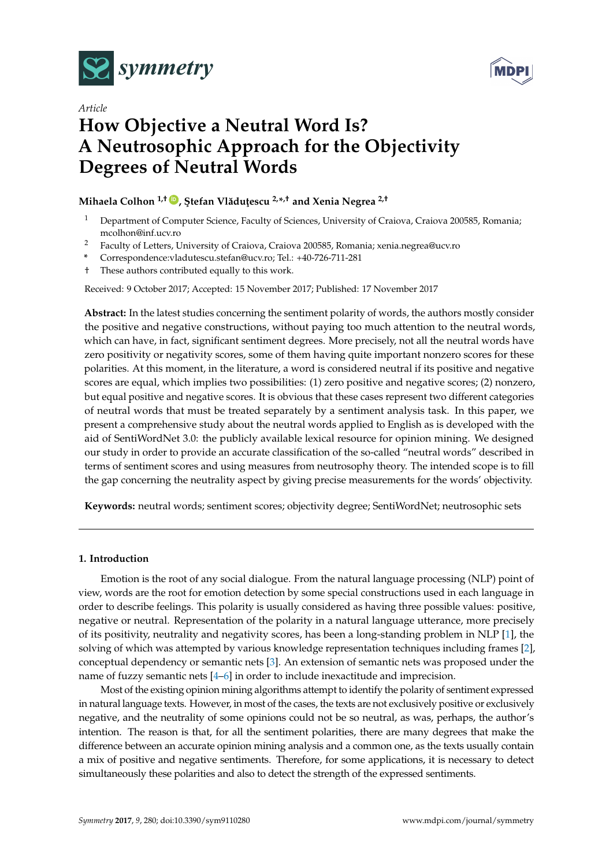



# *Article* **How Objective a Neutral Word Is? A Neutrosophic Approach for the Objectivity Degrees of Neutral Words**

## **Mihaela Colhon 1,† [ID](https://orcid.org/0000-0001-5332-2220) , ¸Stefan Vl ˘adu¸tescu 2,\* ,† and Xenia Negrea 2,†**

- <sup>1</sup> Department of Computer Science, Faculty of Sciences, University of Craiova, Craiova 200585, Romania; mcolhon@inf.ucv.ro
- <sup>2</sup> Faculty of Letters, University of Craiova, Craiova 200585, Romania; xenia.negrea@ucv.ro
- **\*** Correspondence:vladutescu.stefan@ucv.ro; Tel.: +40-726-711-281
- † These authors contributed equally to this work.

Received: 9 October 2017; Accepted: 15 November 2017; Published: 17 November 2017

**Abstract:** In the latest studies concerning the sentiment polarity of words, the authors mostly consider the positive and negative constructions, without paying too much attention to the neutral words, which can have, in fact, significant sentiment degrees. More precisely, not all the neutral words have zero positivity or negativity scores, some of them having quite important nonzero scores for these polarities. At this moment, in the literature, a word is considered neutral if its positive and negative scores are equal, which implies two possibilities: (1) zero positive and negative scores; (2) nonzero, but equal positive and negative scores. It is obvious that these cases represent two different categories of neutral words that must be treated separately by a sentiment analysis task. In this paper, we present a comprehensive study about the neutral words applied to English as is developed with the aid of SentiWordNet 3.0: the publicly available lexical resource for opinion mining. We designed our study in order to provide an accurate classification of the so-called "neutral words" described in terms of sentiment scores and using measures from neutrosophy theory. The intended scope is to fill the gap concerning the neutrality aspect by giving precise measurements for the words' objectivity.

**Keywords:** neutral words; sentiment scores; objectivity degree; SentiWordNet; neutrosophic sets

### **1. Introduction**

Emotion is the root of any social dialogue. From the natural language processing (NLP) point of view, words are the root for emotion detection by some special constructions used in each language in order to describe feelings. This polarity is usually considered as having three possible values: positive, negative or neutral. Representation of the polarity in a natural language utterance, more precisely of its positivity, neutrality and negativity scores, has been a long-standing problem in NLP [\[1\]](#page-12-0), the solving of which was attempted by various knowledge representation techniques including frames [\[2\]](#page-12-1), conceptual dependency or semantic nets [\[3\]](#page-12-2). An extension of semantic nets was proposed under the name of fuzzy semantic nets [\[4](#page-12-3)[–6\]](#page-12-4) in order to include inexactitude and imprecision.

Most of the existing opinion mining algorithms attempt to identify the polarity of sentiment expressed in natural language texts. However, in most of the cases, the texts are not exclusively positive or exclusively negative, and the neutrality of some opinions could not be so neutral, as was, perhaps, the author's intention. The reason is that, for all the sentiment polarities, there are many degrees that make the difference between an accurate opinion mining analysis and a common one, as the texts usually contain a mix of positive and negative sentiments. Therefore, for some applications, it is necessary to detect simultaneously these polarities and also to detect the strength of the expressed sentiments.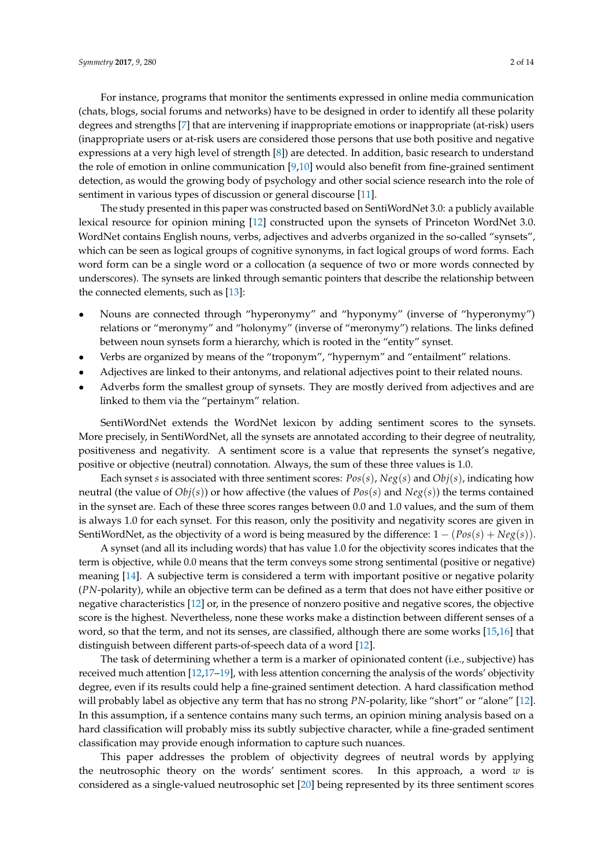For instance, programs that monitor the sentiments expressed in online media communication (chats, blogs, social forums and networks) have to be designed in order to identify all these polarity degrees and strengths [\[7\]](#page-12-5) that are intervening if inappropriate emotions or inappropriate (at-risk) users (inappropriate users or at-risk users are considered those persons that use both positive and negative expressions at a very high level of strength [\[8\]](#page-12-6)) are detected. In addition, basic research to understand the role of emotion in online communication [\[9,](#page-12-7)[10\]](#page-12-8) would also benefit from fine-grained sentiment detection, as would the growing body of psychology and other social science research into the role of sentiment in various types of discussion or general discourse [\[11\]](#page-12-9).

The study presented in this paper was constructed based on SentiWordNet 3.0: a publicly available lexical resource for opinion mining [\[12\]](#page-12-10) constructed upon the synsets of Princeton WordNet 3.0. WordNet contains English nouns, verbs, adjectives and adverbs organized in the so-called "synsets", which can be seen as logical groups of cognitive synonyms, in fact logical groups of word forms. Each word form can be a single word or a collocation (a sequence of two or more words connected by underscores). The synsets are linked through semantic pointers that describe the relationship between the connected elements, such as [\[13\]](#page-12-11):

- Nouns are connected through "hyperonymy" and "hyponymy" (inverse of "hyperonymy") relations or "meronymy" and "holonymy" (inverse of "meronymy") relations. The links defined between noun synsets form a hierarchy, which is rooted in the "entity" synset.
- Verbs are organized by means of the "troponym", "hypernym" and "entailment" relations.
- Adjectives are linked to their antonyms, and relational adjectives point to their related nouns.
- Adverbs form the smallest group of synsets. They are mostly derived from adjectives and are linked to them via the "pertainym" relation.

SentiWordNet extends the WordNet lexicon by adding sentiment scores to the synsets. More precisely, in SentiWordNet, all the synsets are annotated according to their degree of neutrality, positiveness and negativity. A sentiment score is a value that represents the synset's negative, positive or objective (neutral) connotation. Always, the sum of these three values is 1.0.

Each synset *s* is associated with three sentiment scores: *Pos*(*s*), *Neg*(*s*) and *Obj*(*s*), indicating how neutral (the value of *Obj*(*s*)) or how affective (the values of *Pos*(*s*) and *Neg*(*s*)) the terms contained in the synset are. Each of these three scores ranges between 0.0 and 1.0 values, and the sum of them is always 1.0 for each synset. For this reason, only the positivity and negativity scores are given in SentiWordNet, as the objectivity of a word is being measured by the difference:  $1 - (Pos(s) + Neg(s))$ .

A synset (and all its including words) that has value 1.0 for the objectivity scores indicates that the term is objective, while 0.0 means that the term conveys some strong sentimental (positive or negative) meaning [\[14\]](#page-12-12). A subjective term is considered a term with important positive or negative polarity (*PN*-polarity), while an objective term can be defined as a term that does not have either positive or negative characteristics [\[12\]](#page-12-10) or, in the presence of nonzero positive and negative scores, the objective score is the highest. Nevertheless, none these works make a distinction between different senses of a word, so that the term, and not its senses, are classified, although there are some works [\[15,](#page-12-13)[16\]](#page-12-14) that distinguish between different parts-of-speech data of a word [\[12\]](#page-12-10).

The task of determining whether a term is a marker of opinionated content (i.e., subjective) has received much attention [\[12](#page-12-10)[,17](#page-12-15)[–19\]](#page-12-16), with less attention concerning the analysis of the words' objectivity degree, even if its results could help a fine-grained sentiment detection. A hard classification method will probably label as objective any term that has no strong *PN*-polarity, like "short" or "alone" [\[12\]](#page-12-10). In this assumption, if a sentence contains many such terms, an opinion mining analysis based on a hard classification will probably miss its subtly subjective character, while a fine-graded sentiment classification may provide enough information to capture such nuances.

This paper addresses the problem of objectivity degrees of neutral words by applying the neutrosophic theory on the words' sentiment scores. In this approach, a word *w* is considered as a single-valued neutrosophic set [\[20\]](#page-12-17) being represented by its three sentiment scores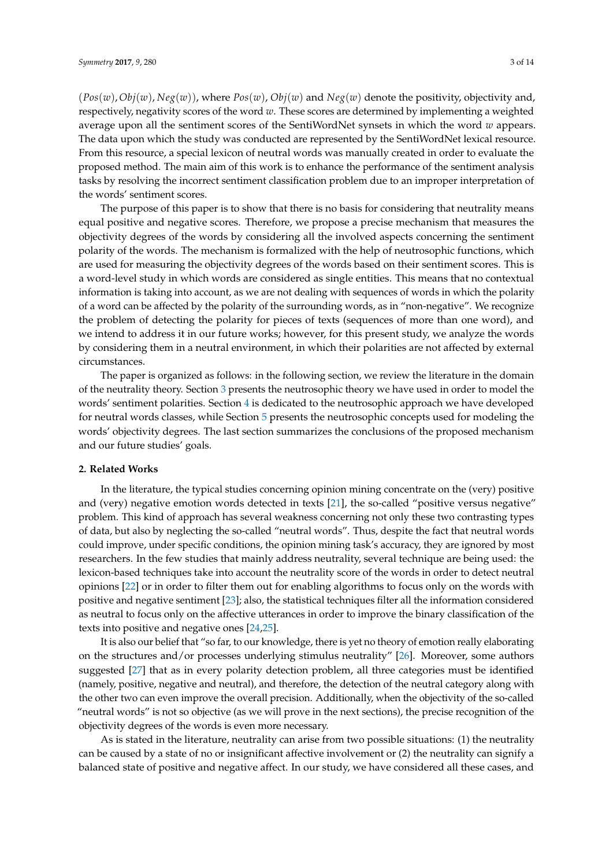(*Pos*(*w*),*Obj*(*w*), *Neg*(*w*)), where *Pos*(*w*), *Obj*(*w*) and *Neg*(*w*) denote the positivity, objectivity and, respectively, negativity scores of the word *w*. These scores are determined by implementing a weighted average upon all the sentiment scores of the SentiWordNet synsets in which the word *w* appears. The data upon which the study was conducted are represented by the SentiWordNet lexical resource. From this resource, a special lexicon of neutral words was manually created in order to evaluate the proposed method. The main aim of this work is to enhance the performance of the sentiment analysis tasks by resolving the incorrect sentiment classification problem due to an improper interpretation of the words' sentiment scores.

The purpose of this paper is to show that there is no basis for considering that neutrality means equal positive and negative scores. Therefore, we propose a precise mechanism that measures the objectivity degrees of the words by considering all the involved aspects concerning the sentiment polarity of the words. The mechanism is formalized with the help of neutrosophic functions, which are used for measuring the objectivity degrees of the words based on their sentiment scores. This is a word-level study in which words are considered as single entities. This means that no contextual information is taking into account, as we are not dealing with sequences of words in which the polarity of a word can be affected by the polarity of the surrounding words, as in "non-negative". We recognize the problem of detecting the polarity for pieces of texts (sequences of more than one word), and we intend to address it in our future works; however, for this present study, we analyze the words by considering them in a neutral environment, in which their polarities are not affected by external circumstances.

The paper is organized as follows: in the following section, we review the literature in the domain of the neutrality theory. Section [3](#page-3-0) presents the neutrosophic theory we have used in order to model the words' sentiment polarities. Section [4](#page-5-0) is dedicated to the neutrosophic approach we have developed for neutral words classes, while Section [5](#page-7-0) presents the neutrosophic concepts used for modeling the words' objectivity degrees. The last section summarizes the conclusions of the proposed mechanism and our future studies' goals.

#### **2. Related Works**

In the literature, the typical studies concerning opinion mining concentrate on the (very) positive and (very) negative emotion words detected in texts [\[21\]](#page-13-0), the so-called "positive versus negative" problem. This kind of approach has several weakness concerning not only these two contrasting types of data, but also by neglecting the so-called "neutral words". Thus, despite the fact that neutral words could improve, under specific conditions, the opinion mining task's accuracy, they are ignored by most researchers. In the few studies that mainly address neutrality, several technique are being used: the lexicon-based techniques take into account the neutrality score of the words in order to detect neutral opinions [\[22\]](#page-13-1) or in order to filter them out for enabling algorithms to focus only on the words with positive and negative sentiment [\[23\]](#page-13-2); also, the statistical techniques filter all the information considered as neutral to focus only on the affective utterances in order to improve the binary classification of the texts into positive and negative ones [\[24,](#page-13-3)[25\]](#page-13-4).

It is also our belief that "so far, to our knowledge, there is yet no theory of emotion really elaborating on the structures and/or processes underlying stimulus neutrality" [\[26\]](#page-13-5). Moreover, some authors suggested [\[27\]](#page-13-6) that as in every polarity detection problem, all three categories must be identified (namely, positive, negative and neutral), and therefore, the detection of the neutral category along with the other two can even improve the overall precision. Additionally, when the objectivity of the so-called "neutral words" is not so objective (as we will prove in the next sections), the precise recognition of the objectivity degrees of the words is even more necessary.

As is stated in the literature, neutrality can arise from two possible situations: (1) the neutrality can be caused by a state of no or insignificant affective involvement or (2) the neutrality can signify a balanced state of positive and negative affect. In our study, we have considered all these cases, and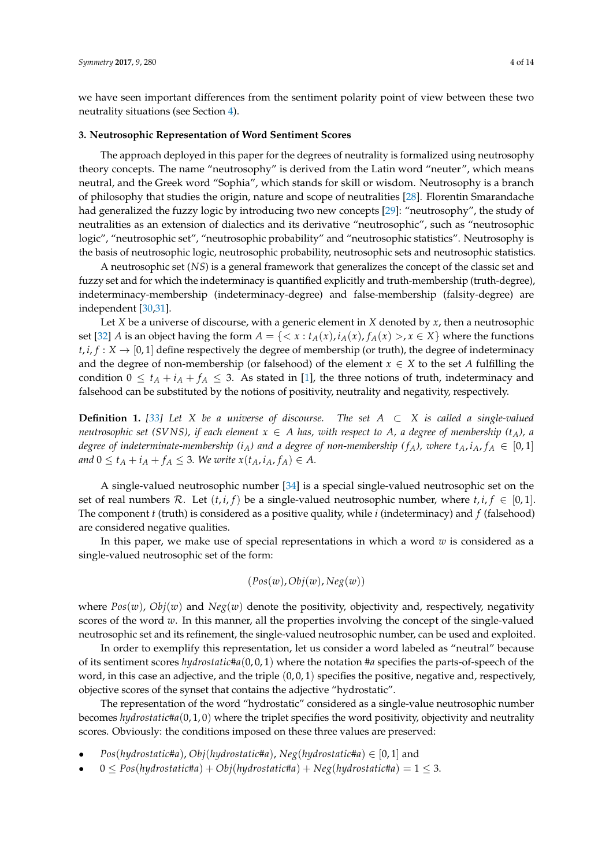we have seen important differences from the sentiment polarity point of view between these two neutrality situations (see Section [4\)](#page-5-0).

#### <span id="page-3-0"></span>**3. Neutrosophic Representation of Word Sentiment Scores**

The approach deployed in this paper for the degrees of neutrality is formalized using neutrosophy theory concepts. The name "neutrosophy" is derived from the Latin word "neuter", which means neutral, and the Greek word "Sophia", which stands for skill or wisdom. Neutrosophy is a branch of philosophy that studies the origin, nature and scope of neutralities [\[28\]](#page-13-7). Florentin Smarandache had generalized the fuzzy logic by introducing two new concepts [\[29\]](#page-13-8): "neutrosophy", the study of neutralities as an extension of dialectics and its derivative "neutrosophic", such as "neutrosophic logic", "neutrosophic set", "neutrosophic probability" and "neutrosophic statistics". Neutrosophy is the basis of neutrosophic logic, neutrosophic probability, neutrosophic sets and neutrosophic statistics.

A neutrosophic set (*NS*) is a general framework that generalizes the concept of the classic set and fuzzy set and for which the indeterminacy is quantified explicitly and truth-membership (truth-degree), indeterminacy-membership (indeterminacy-degree) and false-membership (falsity-degree) are independent [\[30](#page-13-9)[,31\]](#page-13-10).

Let *X* be a universe of discourse, with a generic element in *X* denoted by *x*, then a neutrosophic set [\[32\]](#page-13-11) *A* is an object having the form  $A = \{ \langle x : t_A(x), i_A(x), f_A(x) \rangle, x \in X \}$  where the functions  $t, i, f: X \rightarrow [0, 1]$  define respectively the degree of membership (or truth), the degree of indeterminacy and the degree of non-membership (or falsehood) of the element  $x \in X$  to the set *A* fulfilling the condition  $0 \le t_A + i_A + f_A \le 3$ . As stated in [\[1\]](#page-12-0), the three notions of truth, indeterminacy and falsehood can be substituted by the notions of positivity, neutrality and negativity, respectively.

**Definition 1.** *[\[33\]](#page-13-12) Let X be a universe of discourse. The set A* ⊂ *X is called a single-valued neutrosophic set (SVNS), if each element*  $x \in A$  *has, with respect to*  $A$ *, a degree of membership* ( $t_A$ *), a degree of indeterminate-membership* (*i*<sub>*A*</sub>) and a degree of non-membership (*f<sub>A</sub>*), where  $t_A$ ,  $i_A$ ,  $f_A \in [0,1]$ *and*  $0 \le t_A + i_A + f_A \le 3$ *. We write*  $x(t_A, i_A, f_A) \in A$ *.* 

A single-valued neutrosophic number [\[34\]](#page-13-13) is a special single-valued neutrosophic set on the set of real numbers R. Let  $(t, i, f)$  be a single-valued neutrosophic number, where  $t, i, f \in [0, 1]$ . The component *t* (truth) is considered as a positive quality, while *i* (indeterminacy) and *f* (falsehood) are considered negative qualities.

In this paper, we make use of special representations in which a word *w* is considered as a single-valued neutrosophic set of the form:

$$
(Pos(w),Obj(w),Neg(w))
$$

where  $Pos(w)$ ,  $Obj(w)$  and  $Neg(w)$  denote the positivity, objectivity and, respectively, negativity scores of the word *w*. In this manner, all the properties involving the concept of the single-valued neutrosophic set and its refinement, the single-valued neutrosophic number, can be used and exploited.

In order to exemplify this representation, let us consider a word labeled as "neutral" because of its sentiment scores *hydrostatic*#*a*(0, 0, 1) where the notation #*a* specifies the parts-of-speech of the word, in this case an adjective, and the triple  $(0, 0, 1)$  specifies the positive, negative and, respectively, objective scores of the synset that contains the adjective "hydrostatic".

The representation of the word "hydrostatic" considered as a single-value neutrosophic number becomes *hydrostatic*#*a*(0, 1, 0) where the triplet specifies the word positivity, objectivity and neutrality scores. Obviously: the conditions imposed on these three values are preserved:

- $Pos(hydrostatic\#a)$ ,  $Obj(hydrostatic\#a)$ ,  $Neg(hydrostatic\#a) \in [0,1]$  and
- $0 \leq Pos(hydrostatic \#a) + Obj(hydrostatic \#a) + Neg(hydrostatic \#a) = 1 \leq 3.$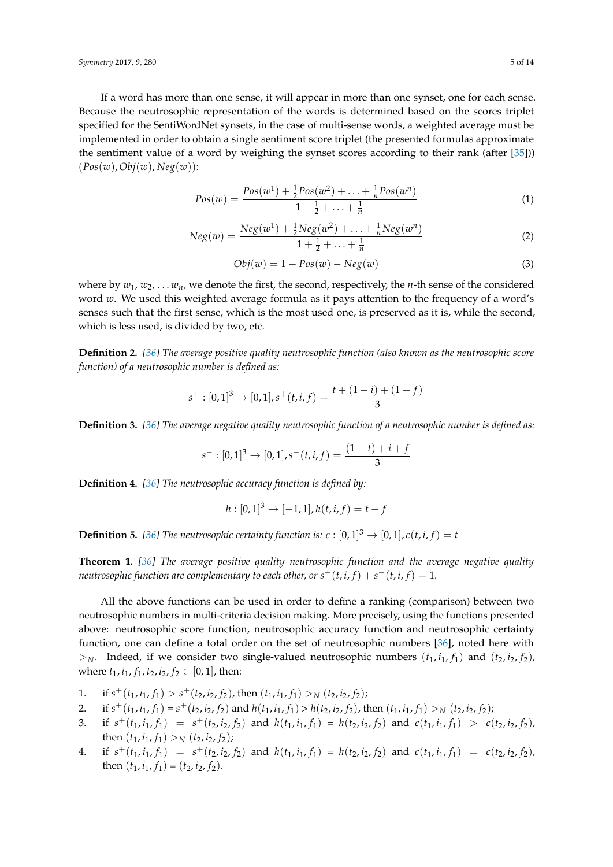*Symmetry* **2017**, *9*, 280 5 of 14

If a word has more than one sense, it will appear in more than one synset, one for each sense. Because the neutrosophic representation of the words is determined based on the scores triplet specified for the SentiWordNet synsets, in the case of multi-sense words, a weighted average must be implemented in order to obtain a single sentiment score triplet (the presented formulas approximate the sentiment value of a word by weighing the synset scores according to their rank (after [\[35\]](#page-13-14))) (*Pos*(*w*),*Obj*(*w*), *Neg*(*w*)):

<span id="page-4-0"></span>
$$
Pos(w) = \frac{Pos(w^1) + \frac{1}{2}Pos(w^2) + \ldots + \frac{1}{n}Pos(w^n)}{1 + \frac{1}{2} + \ldots + \frac{1}{n}}
$$
(1)

$$
Neg(w) = \frac{Neg(w^1) + \frac{1}{2}Neg(w^2) + \ldots + \frac{1}{n}Neg(w^n)}{1 + \frac{1}{2} + \ldots + \frac{1}{n}}\tag{2}
$$

<span id="page-4-1"></span>
$$
Obj(w) = 1 - Pos(w) - Neg(w)
$$
\n(3)

where by  $w_1, w_2, \ldots w_n$ , we denote the first, the second, respectively, the *n*-th sense of the considered word *w*. We used this weighted average formula as it pays attention to the frequency of a word's senses such that the first sense, which is the most used one, is preserved as it is, while the second, which is less used, is divided by two, etc.

**Definition 2.** *[\[36\]](#page-13-15) The average positive quality neutrosophic function (also known as the neutrosophic score function) of a neutrosophic number is defined as:*

$$
s^{+}:[0,1]^{3}\rightarrow [0,1], s^{+}(t,i,f)=\frac{t+(1-i)+(1-f)}{3}
$$

**Definition 3.** *[\[36\]](#page-13-15) The average negative quality neutrosophic function of a neutrosophic number is defined as:*

$$
s^- : [0,1]^3 \to [0,1], s^-(t,i,f) = \frac{(1-t)+i+f}{3}
$$

**Definition 4.** *[\[36\]](#page-13-15) The neutrosophic accuracy function is defined by:*

$$
h: [0,1]^3 \to [-1,1], h(t,i,f) = t - f
$$

**Definition 5.** [\[36\]](#page-13-15) The neutrosophic certainty function is:  $c : [0,1]^3 \rightarrow [0,1]$ ,  $c(t, i, f) = t$ 

**Theorem 1.** *[\[36\]](#page-13-15) The average positive quality neutrosophic function and the average negative quality neutrosophic function are complementary to each other, or*  $s^+(t,i,f) + s^-(t,i,f) = 1$ *.* 

All the above functions can be used in order to define a ranking (comparison) between two neutrosophic numbers in multi-criteria decision making. More precisely, using the functions presented above: neutrosophic score function, neutrosophic accuracy function and neutrosophic certainty function, one can define a total order on the set of neutrosophic numbers [\[36\]](#page-13-15), noted here with  $>_{N}$ . Indeed, if we consider two single-valued neutrosophic numbers  $(t_1, i_1, f_1)$  and  $(t_2, i_2, f_2)$ , where  $t_1$ ,  $i_1$ ,  $f_1$ ,  $t_2$ ,  $i_2$ ,  $f_2 \in [0, 1]$ , then:

- 1. if  $s^+(t_1, i_1, f_1) > s^+(t_2, i_2, f_2)$ , then  $(t_1, i_1, f_1) > N(t_2, i_2, f_2)$ ;
- 2. if  $s^+(t_1, i_1, f_1) = s^+(t_2, i_2, f_2)$  and  $h(t_1, i_1, f_1) > h(t_2, i_2, f_2)$ , then  $(t_1, i_1, f_1) >_N (t_2, i_2, f_2)$ ;
- 3. if  $s^+(t_1, i_1, f_1) = s^+(t_2, i_2, f_2)$  and  $h(t_1, i_1, f_1) = h(t_2, i_2, f_2)$  and  $c(t_1, i_1, f_1) > c(t_2, i_2, f_2)$ , then  $(t_1, i_1, f_1) > N (t_2, i_2, f_2)$ ;
- 4. if  $s^+(t_1, i_1, f_1) = s^+(t_2, i_2, f_2)$  and  $h(t_1, i_1, f_1) = h(t_2, i_2, f_2)$  and  $c(t_1, i_1, f_1) = c(t_2, i_2, f_2)$ , then  $(t_1, i_1, f_1) = (t_2, i_2, f_2)$ .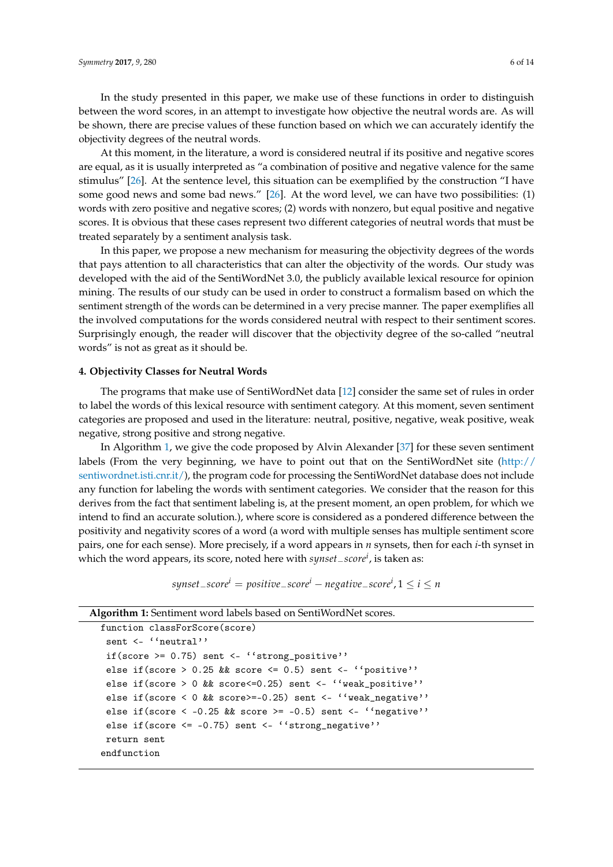In the study presented in this paper, we make use of these functions in order to distinguish between the word scores, in an attempt to investigate how objective the neutral words are. As will be shown, there are precise values of these function based on which we can accurately identify the objectivity degrees of the neutral words.

At this moment, in the literature, a word is considered neutral if its positive and negative scores are equal, as it is usually interpreted as "a combination of positive and negative valence for the same stimulus" [\[26\]](#page-13-5). At the sentence level, this situation can be exemplified by the construction "I have some good news and some bad news." [\[26\]](#page-13-5). At the word level, we can have two possibilities: (1) words with zero positive and negative scores; (2) words with nonzero, but equal positive and negative scores. It is obvious that these cases represent two different categories of neutral words that must be treated separately by a sentiment analysis task.

In this paper, we propose a new mechanism for measuring the objectivity degrees of the words that pays attention to all characteristics that can alter the objectivity of the words. Our study was developed with the aid of the SentiWordNet 3.0, the publicly available lexical resource for opinion mining. The results of our study can be used in order to construct a formalism based on which the sentiment strength of the words can be determined in a very precise manner. The paper exemplifies all the involved computations for the words considered neutral with respect to their sentiment scores. Surprisingly enough, the reader will discover that the objectivity degree of the so-called "neutral words" is not as great as it should be.

#### <span id="page-5-0"></span>**4. Objectivity Classes for Neutral Words**

The programs that make use of SentiWordNet data [\[12\]](#page-12-10) consider the same set of rules in order to label the words of this lexical resource with sentiment category. At this moment, seven sentiment categories are proposed and used in the literature: neutral, positive, negative, weak positive, weak negative, strong positive and strong negative.

In Algorithm [1,](#page-5-1) we give the code proposed by Alvin Alexander [\[37\]](#page-13-16) for these seven sentiment labels (From the very beginning, we have to point out that on the SentiWordNet site [\(http://](http://sentiwordnet.isti.cnr.it/) [sentiwordnet.isti.cnr.it/\)](http://sentiwordnet.isti.cnr.it/), the program code for processing the SentiWordNet database does not include any function for labeling the words with sentiment categories. We consider that the reason for this derives from the fact that sentiment labeling is, at the present moment, an open problem, for which we intend to find an accurate solution.), where score is considered as a pondered difference between the positivity and negativity scores of a word (a word with multiple senses has multiple sentiment score pairs, one for each sense). More precisely, if a word appears in *n* synsets, then for each *i*-th synset in which the word appears, its score, noted here with *synset*−*score<sup>i</sup>* , is taken as:

*synset*−*score<sup>i</sup>* = *positive*−*score<sup>i</sup>* − *negative*−*score<sup>i</sup>* , 1 ≤ *i* ≤ *n*

<span id="page-5-1"></span>

| <b>Algorithm 1:</b> Sentiment word labels based on SentiWordNet scores. |
|-------------------------------------------------------------------------|
| function classForScore(score)                                           |
| sent $\leq$ "neutral"                                                   |
| if(score >= $0.75$ ) sent <- ''strong_positive''                        |
| else if(score > 0.25 && score <= 0.5) sent <- ''positive''              |
| else if (score > 0 && score<=0.25) sent <- $\lq\lq$ weak_positive''     |
| else if(score < 0 && score>=-0.25) sent <- $\lq$ weak_negative''        |
| else if(score < -0.25 && score >= -0.5) sent <- ''negative''            |
| else if $(\text{score} \le -0.75)$ sent $\le$ "strong negative"         |
| return sent                                                             |
| endfunction                                                             |
|                                                                         |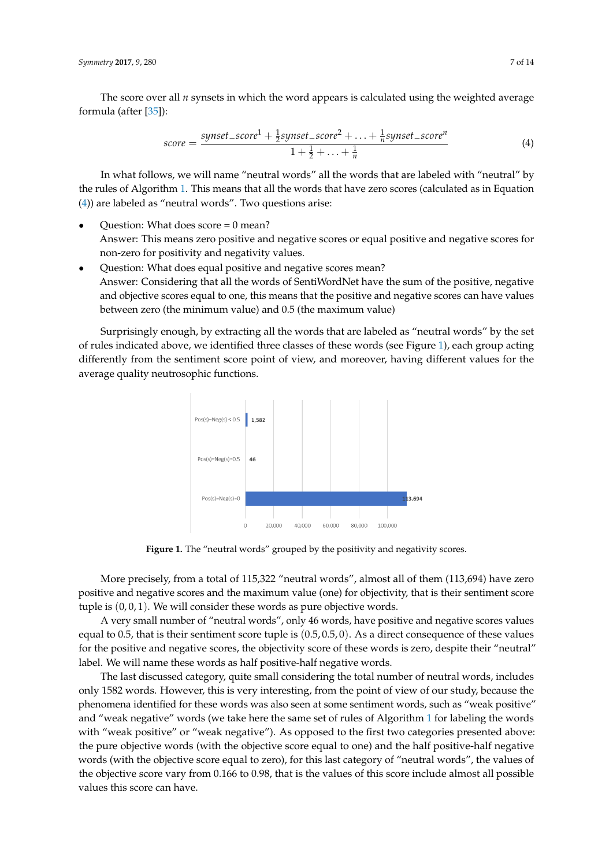The score over all *n* synsets in which the word appears is calculated using the weighted average formula (after [\[35\]](#page-13-14)):

<span id="page-6-0"></span>
$$
score = \frac{synset\_score^{1} + \frac{1}{2}synset\_score^{2} + \ldots + \frac{1}{n}synset\_score^{n}}{1 + \frac{1}{2} + \ldots + \frac{1}{n}}
$$
(4)

In what follows, we will name "neutral words" all the words that are labeled with "neutral" by the rules of Algorithm [1.](#page-5-1) This means that all the words that have zero scores (calculated as in Equation [\(4\)](#page-6-0)) are labeled as "neutral words". Two questions arise:

- Question: What does score  $= 0$  mean? Answer: This means zero positive and negative scores or equal positive and negative scores for non-zero for positivity and negativity values.
- Question: What does equal positive and negative scores mean? Answer: Considering that all the words of SentiWordNet have the sum of the positive, negative and objective scores equal to one, this means that the positive and negative scores can have values between zero (the minimum value) and 0.5 (the maximum value)

<span id="page-6-1"></span>Surprisingly enough, by extracting all the words that are labeled as "neutral words" by the set of rules indicated above, we identified three classes of these words (see Figure [1\)](#page-6-1), each group acting differently from the sentiment score point of view, and moreover, having different values for the average quality neutrosophic functions.



Figure 1. The "neutral words" grouped by the positivity and negativity scores.

More precisely, from a total of 115,322 "neutral words", almost all of them (113,694) have zero positive and negative scores and the maximum value (one) for objectivity, that is their sentiment score tuple is (0, 0, 1). We will consider these words as pure objective words.

A very small number of "neutral words", only 46 words, have positive and negative scores values equal to 0.5, that is their sentiment score tuple is (0.5, 0.5, 0). As a direct consequence of these values for the positive and negative scores, the objectivity score of these words is zero, despite their "neutral" label. We will name these words as half positive-half negative words.

The last discussed category, quite small considering the total number of neutral words, includes only 1582 words. However, this is very interesting, from the point of view of our study, because the phenomena identified for these words was also seen at some sentiment words, such as "weak positive" and "weak negative" words (we take here the same set of rules of Algorithm [1](#page-5-1) for labeling the words with "weak positive" or "weak negative"). As opposed to the first two categories presented above: the pure objective words (with the objective score equal to one) and the half positive-half negative words (with the objective score equal to zero), for this last category of "neutral words", the values of the objective score vary from 0.166 to 0.98, that is the values of this score include almost all possible values this score can have.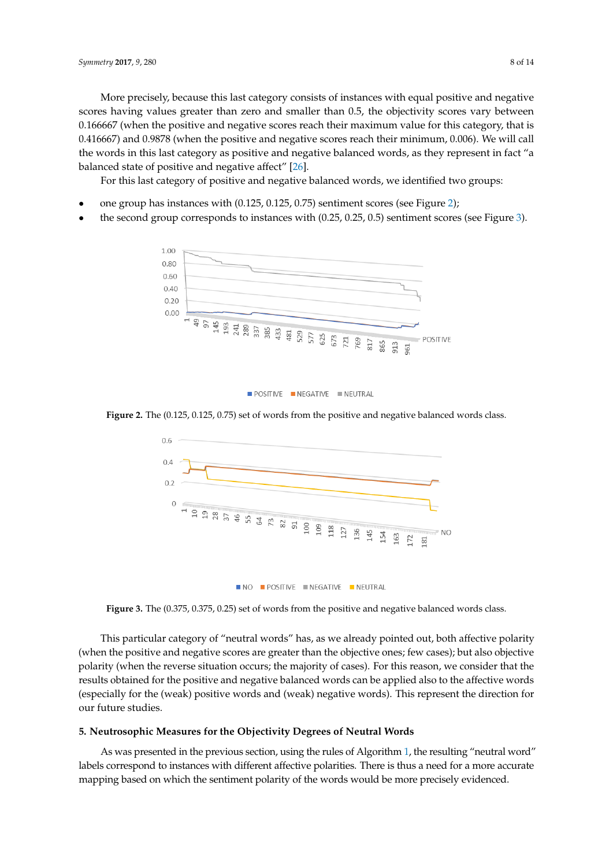More precisely, because this last category consists of instances with equal positive and negative scores having values greater than zero and smaller than 0.5, the objectivity scores vary between 0.166667 (when the positive and negative scores reach their maximum value for this category, that is 0.416667) and 0.9878 (when the positive and negative scores reach their minimum, 0.006). We will call the words in this last category as positive and negative balanced words, as they represent in fact "a balanced state of positive and negative affect" [\[26\]](#page-13-5).

For this last category of positive and negative balanced words, we identified two groups:

- one group has instances with (0.125, 0.125, 0.75) sentiment scores (see Figure [2\)](#page-7-1);
- <span id="page-7-1"></span>the second group corresponds to instances with (0.25, 0.25, 0.5) sentiment scores (see Figure [3\)](#page-7-2).



 $\blacksquare$  POSITIVE  $\blacksquare$  NEGATIVE  $\blacksquare$  NEUTRAL

<span id="page-7-2"></span>**Figure 2.** The (0.125, 0.125, 0.75) set of words from the positive and negative balanced words class.



**Figure 3.** The (0.375, 0.375, 0.25) set of words from the positive and negative balanced words class.

This particular category of "neutral words" has, as we already pointed out, both affective polarity (when the positive and negative scores are greater than the objective ones; few cases); but also objective polarity (when the reverse situation occurs; the majority of cases). For this reason, we consider that the results obtained for the positive and negative balanced words can be applied also to the affective words (especially for the (weak) positive words and (weak) negative words). This represent the direction for our future studies.

#### <span id="page-7-0"></span>**5. Neutrosophic Measures for the Objectivity Degrees of Neutral Words**

As was presented in the previous section, using the rules of Algorithm [1,](#page-5-1) the resulting "neutral word" labels correspond to instances with different affective polarities. There is thus a need for a more accurate mapping based on which the sentiment polarity of the words would be more precisely evidenced.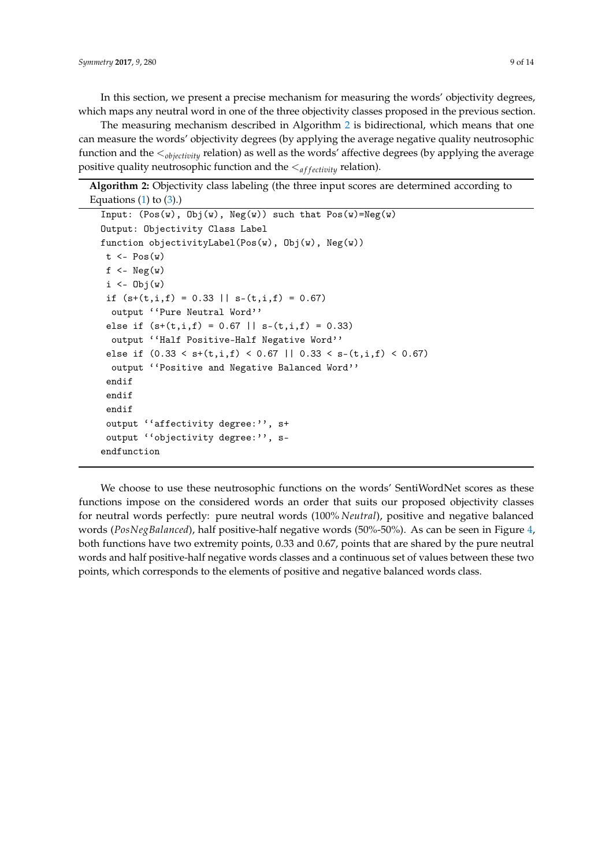In this section, we present a precise mechanism for measuring the words' objectivity degrees, which maps any neutral word in one of the three objectivity classes proposed in the previous section.

The measuring mechanism described in Algorithm [2](#page-8-0) is bidirectional, which means that one can measure the words' objectivity degrees (by applying the average negative quality neutrosophic function and the <*objectivity* relation) as well as the words' affective degrees (by applying the average positive quality neutrosophic function and the  $\langle_{affectivity}$  relation).

**Algorithm 2:** Objectivity class labeling (the three input scores are determined according to Equations  $(1)$  to  $(3)$ .)

```
Input: (Pos(w), Obj(w), Neg(w)) such that Pos(w)=Neg(w)Output: Objectivity Class Label
function objectivityLabel(Pos(w), Obj(w), Neg(w))
t \leq -\text{Pos}(w)f \leftarrow \text{Neg}(w)i \leftarrow 0bj(w)if (s+(t,i,f) = 0.33 || s-(t,i,f) = 0.67)output ''Pure Neutral Word''
 else if (s+(t,i,f) = 0.67 || s-(t,i,f) = 0.33)output ''Half Positive-Half Negative Word''
 else if (0.33 < s+(t,i,f) < 0.67 || 0.33 < s-(t,i,f) < 0.67)output ''Positive and Negative Balanced Word''
 endif
 endif
 endif
 output ''affectivity degree:'', s+
 output ''objectivity degree:'', s-
endfunction
```
We choose to use these neutrosophic functions on the words' SentiWordNet scores as these functions impose on the considered words an order that suits our proposed objectivity classes for neutral words perfectly: pure neutral words (100% *Neutral*), positive and negative balanced words (*PosNegBalanced*), half positive-half negative words (50%-50%). As can be seen in Figure [4,](#page-9-0) both functions have two extremity points, 0.33 and 0.67, points that are shared by the pure neutral words and half positive-half negative words classes and a continuous set of values between these two points, which corresponds to the elements of positive and negative balanced words class.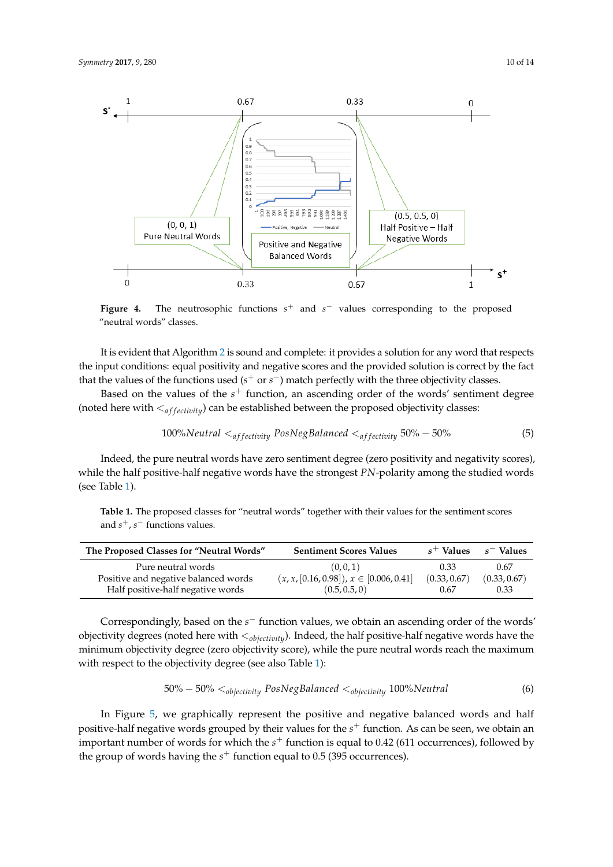<span id="page-9-0"></span>

**Figure 4.** The neutrosophic functions *s* <sup>+</sup> and *s* <sup>−</sup> values corresponding to the proposed "neutral words" classes.

It is evident that Algorithm [2](#page-8-0) is sound and complete: it provides a solution for any word that respects the input conditions: equal positivity and negative scores and the provided solution is correct by the fact that the values of the functions used (*s*<sup>+</sup> or *s*<sup>−</sup>) match perfectly with the three objectivity classes.

Based on the values of the  $s^+$  function, an ascending order of the words' sentiment degree (noted here with  $\langle$ <sub>affectivity</sub>) can be established between the proposed objectivity classes:

<span id="page-9-2"></span>
$$
100\% Neutral affectivity PosNegBalanced affectivity 50\% - 50\% \tag{5}
$$

Indeed, the pure neutral words have zero sentiment degree (zero positivity and negativity scores), while the half positive-half negative words have the strongest *PN*-polarity among the studied words (see Table [1\)](#page-9-1).

<span id="page-9-1"></span>

|                                     | Table 1. The proposed classes for "neutral words" together with their values for the sentiment scores |
|-------------------------------------|-------------------------------------------------------------------------------------------------------|
| and $s^+$ , $s^-$ functions values. |                                                                                                       |

| The Proposed Classes for "Neutral Words" | <b>Sentiment Scores Values</b>                 | $s^+$ Values | $s^-$ Values |
|------------------------------------------|------------------------------------------------|--------------|--------------|
| Pure neutral words                       | (0,0,1)                                        | 0.33         | 0.67         |
| Positive and negative balanced words     | $(x, x, [0.16, 0.98])$ , $x \in [0.006, 0.41]$ | (0.33, 0.67) | (0.33, 0.67) |
| Half positive-half negative words        | (0.5, 0.5, 0)                                  | 0.67         | 0.33         |

Correspondingly, based on the *s* <sup>−</sup> function values, we obtain an ascending order of the words' objectivity degrees (noted here with <*objectivity*). Indeed, the half positive-half negative words have the minimum objectivity degree (zero objectivity score), while the pure neutral words reach the maximum with respect to the objectivity degree (see also Table [1\)](#page-9-1):

<span id="page-9-3"></span>
$$
50\% - 50\% <_{objectivity} PosNegBalanced <_{objectivity} 100\% Neutral
$$
 (6)

In Figure [5,](#page-10-0) we graphically represent the positive and negative balanced words and half positive-half negative words grouped by their values for the *s* <sup>+</sup> function. As can be seen, we obtain an important number of words for which the *s* <sup>+</sup> function is equal to 0.42 (611 occurrences), followed by the group of words having the *s* <sup>+</sup> function equal to 0.5 (395 occurrences).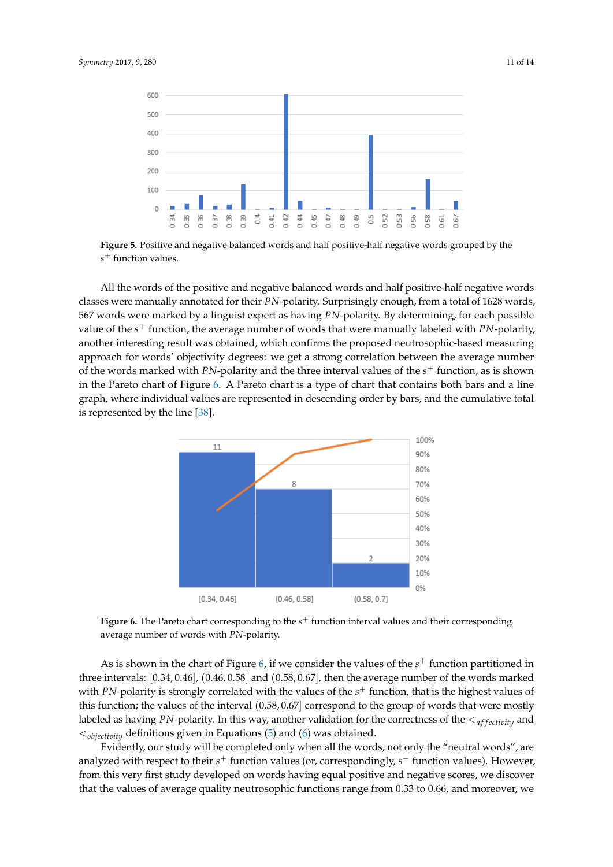<span id="page-10-0"></span>

**Figure 5.** Positive and negative balanced words and half positive-half negative words grouped by the *s* <sup>+</sup> function values.

All the words of the positive and negative balanced words and half positive-half negative words classes were manually annotated for their *PN*-polarity. Surprisingly enough, from a total of 1628 words, 567 words were marked by a linguist expert as having *PN*-polarity. By determining, for each possible value of the *s* <sup>+</sup> function, the average number of words that were manually labeled with *PN*-polarity, another interesting result was obtained, which confirms the proposed neutrosophic-based measuring approach for words' objectivity degrees: we get a strong correlation between the average number of the words marked with *PN*-polarity and the three interval values of the  $s^+$  function, as is shown in the Pareto chart of Figure [6.](#page-10-1) A Pareto chart is a type of chart that contains both bars and a line graph, where individual values are represented in descending order by bars, and the cumulative total is represented by the line [\[38\]](#page-13-17).

<span id="page-10-1"></span>

**Figure 6.** The Pareto chart corresponding to the *s* <sup>+</sup> function interval values and their corresponding average number of words with *PN*-polarity.

As is shown in the chart of Figure [6,](#page-10-1) if we consider the values of the  $s^+$  function partitioned in three intervals: [0.34, 0.46], (0.46, 0.58] and (0.58, 0.67], then the average number of the words marked with *PN*-polarity is strongly correlated with the values of the  $s^+$  function, that is the highest values of this function; the values of the interval (0.58, 0.67] correspond to the group of words that were mostly labeled as having *PN*-polarity. In this way, another validation for the correctness of the  $\leq_{affectivity}$  and <*objectivity* definitions given in Equations [\(5\)](#page-9-2) and [\(6\)](#page-9-3) was obtained.

Evidently, our study will be completed only when all the words, not only the "neutral words", are analyzed with respect to their *s*<sup>+</sup> function values (or, correspondingly, *s*<sup>−</sup> function values). However, from this very first study developed on words having equal positive and negative scores, we discover that the values of average quality neutrosophic functions range from 0.33 to 0.66, and moreover, we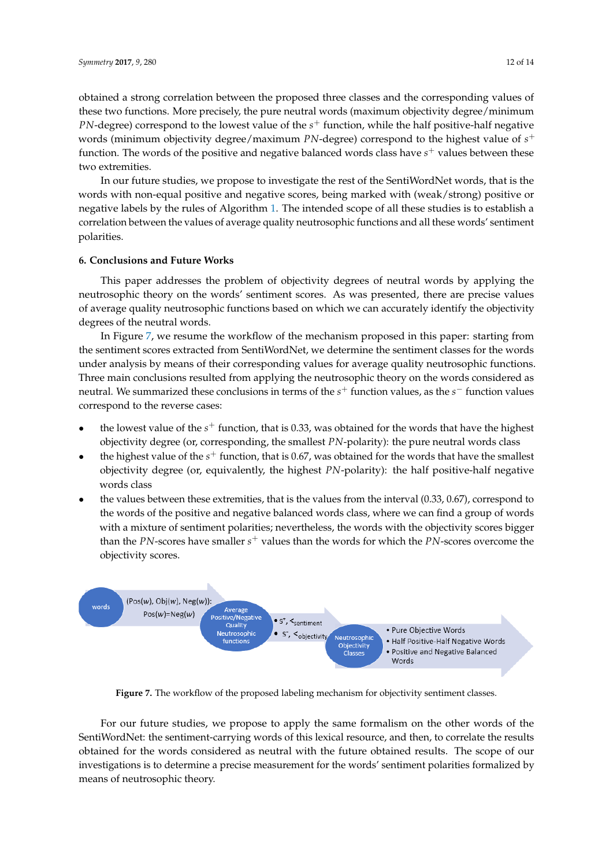obtained a strong correlation between the proposed three classes and the corresponding values of these two functions. More precisely, the pure neutral words (maximum objectivity degree/minimum *PN*-degree) correspond to the lowest value of the *s* <sup>+</sup> function, while the half positive-half negative words (minimum objectivity degree/maximum *PN*-degree) correspond to the highest value of *s* + function. The words of the positive and negative balanced words class have s<sup>+</sup> values between these two extremities.

In our future studies, we propose to investigate the rest of the SentiWordNet words, that is the words with non-equal positive and negative scores, being marked with (weak/strong) positive or negative labels by the rules of Algorithm [1.](#page-5-1) The intended scope of all these studies is to establish a correlation between the values of average quality neutrosophic functions and all these words' sentiment polarities.

#### **6. Conclusions and Future Works**

This paper addresses the problem of objectivity degrees of neutral words by applying the neutrosophic theory on the words' sentiment scores. As was presented, there are precise values of average quality neutrosophic functions based on which we can accurately identify the objectivity degrees of the neutral words.

In Figure [7,](#page-11-0) we resume the workflow of the mechanism proposed in this paper: starting from the sentiment scores extracted from SentiWordNet, we determine the sentiment classes for the words under analysis by means of their corresponding values for average quality neutrosophic functions. Three main conclusions resulted from applying the neutrosophic theory on the words considered as neutral. We summarized these conclusions in terms of the *s*<sup>+</sup> function values, as the *s*<sup>−</sup> function values correspond to the reverse cases:

- the lowest value of the  $s^+$  function, that is 0.33, was obtained for the words that have the highest objectivity degree (or, corresponding, the smallest *PN*-polarity): the pure neutral words class
- the highest value of the  $s^+$  function, that is 0.67, was obtained for the words that have the smallest objectivity degree (or, equivalently, the highest *PN*-polarity): the half positive-half negative words class
- the values between these extremities, that is the values from the interval (0.33, 0.67), correspond to the words of the positive and negative balanced words class, where we can find a group of words with a mixture of sentiment polarities; nevertheless, the words with the objectivity scores bigger than the *PN*-scores have smaller *s* <sup>+</sup> values than the words for which the *PN*-scores overcome the objectivity scores.

<span id="page-11-0"></span>

Figure 7. The workflow of the proposed labeling mechanism for objectivity sentiment classes.

For our future studies, we propose to apply the same formalism on the other words of the SentiWordNet: the sentiment-carrying words of this lexical resource, and then, to correlate the results obtained for the words considered as neutral with the future obtained results. The scope of our investigations is to determine a precise measurement for the words' sentiment polarities formalized by means of neutrosophic theory.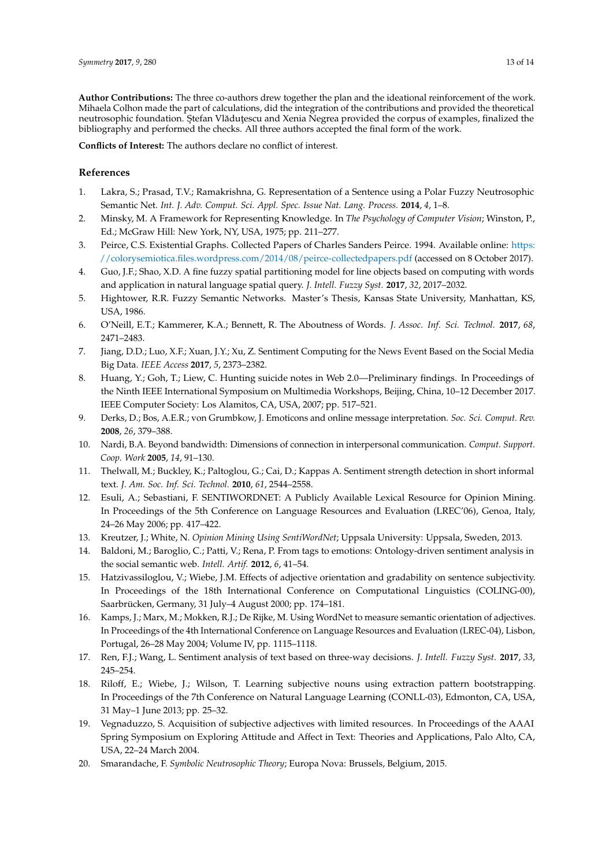**Author Contributions:** The three co-authors drew together the plan and the ideational reinforcement of the work. Mihaela Colhon made the part of calculations, did the integration of the contributions and provided the theoretical neutrosophic foundation. Stefan Vlăduțescu and Xenia Negrea provided the corpus of examples, finalized the bibliography and performed the checks. All three authors accepted the final form of the work.

**Conflicts of Interest:** The authors declare no conflict of interest.

#### **References**

- <span id="page-12-0"></span>1. Lakra, S.; Prasad, T.V.; Ramakrishna, G. Representation of a Sentence using a Polar Fuzzy Neutrosophic Semantic Net. *Int. J. Adv. Comput. Sci. Appl. Spec. Issue Nat. Lang. Process.* **2014**, *4*, 1–8.
- <span id="page-12-1"></span>2. Minsky, M. A Framework for Representing Knowledge. In *The Psychology of Computer Vision*; Winston, P., Ed.; McGraw Hill: New York, NY, USA, 1975; pp. 211–277.
- <span id="page-12-2"></span>3. Peirce, C.S. Existential Graphs. Collected Papers of Charles Sanders Peirce. 1994. Available online: [https:](https://colorysemiotica.files.wordpress.com/2014/08/peirce-collectedpapers.pdf) [//colorysemiotica.files.wordpress.com/2014/08/peirce-collectedpapers.pdf](https://colorysemiotica.files.wordpress.com/2014/08/peirce-collectedpapers.pdf) (accessed on 8 October 2017).
- <span id="page-12-3"></span>4. Guo, J.F.; Shao, X.D. A fine fuzzy spatial partitioning model for line objects based on computing with words and application in natural language spatial query. *J. Intell. Fuzzy Syst.* **2017**, *32*, 2017–2032.
- 5. Hightower, R.R. Fuzzy Semantic Networks. Master's Thesis, Kansas State University, Manhattan, KS, USA, 1986.
- <span id="page-12-4"></span>6. O'Neill, E.T.; Kammerer, K.A.; Bennett, R. The Aboutness of Words. *J. Assoc. Inf. Sci. Technol.* **2017**, *68*, 2471–2483.
- <span id="page-12-5"></span>7. Jiang, D.D.; Luo, X.F.; Xuan, J.Y.; Xu, Z. Sentiment Computing for the News Event Based on the Social Media Big Data. *IEEE Access* **2017**, *5*, 2373–2382.
- <span id="page-12-6"></span>8. Huang, Y.; Goh, T.; Liew, C. Hunting suicide notes in Web 2.0—Preliminary findings. In Proceedings of the Ninth IEEE International Symposium on Multimedia Workshops, Beijing, China, 10–12 December 2017. IEEE Computer Society: Los Alamitos, CA, USA, 2007; pp. 517–521.
- <span id="page-12-7"></span>9. Derks, D.; Bos, A.E.R.; von Grumbkow, J. Emoticons and online message interpretation. *Soc. Sci. Comput. Rev.* **2008**, *26*, 379–388.
- <span id="page-12-8"></span>10. Nardi, B.A. Beyond bandwidth: Dimensions of connection in interpersonal communication. *Comput. Support. Coop. Work* **2005**, *14*, 91–130.
- <span id="page-12-9"></span>11. Thelwall, M.; Buckley, K.; Paltoglou, G.; Cai, D.; Kappas A. Sentiment strength detection in short informal text. *J. Am. Soc. Inf. Sci. Technol.* **2010**, *61*, 2544–2558.
- <span id="page-12-10"></span>12. Esuli, A.; Sebastiani, F. SENTIWORDNET: A Publicly Available Lexical Resource for Opinion Mining. In Proceedings of the 5th Conference on Language Resources and Evaluation (LREC'06), Genoa, Italy, 24–26 May 2006; pp. 417–422.
- <span id="page-12-11"></span>13. Kreutzer, J.; White, N. *Opinion Mining Using SentiWordNet*; Uppsala University: Uppsala, Sweden, 2013.
- <span id="page-12-12"></span>14. Baldoni, M.; Baroglio, C.; Patti, V.; Rena, P. From tags to emotions: Ontology-driven sentiment analysis in the social semantic web. *Intell. Artif.* **2012**, *6*, 41–54.
- <span id="page-12-13"></span>15. Hatzivassiloglou, V.; Wiebe, J.M. Effects of adjective orientation and gradability on sentence subjectivity. In Proceedings of the 18th International Conference on Computational Linguistics (COLING-00), Saarbrücken, Germany, 31 July–4 August 2000; pp. 174–181.
- <span id="page-12-14"></span>16. Kamps, J.; Marx, M.; Mokken, R.J.; De Rijke, M. Using WordNet to measure semantic orientation of adjectives. In Proceedings of the 4th International Conference on Language Resources and Evaluation (LREC-04), Lisbon, Portugal, 26–28 May 2004; Volume IV, pp. 1115–1118.
- <span id="page-12-15"></span>17. Ren, F.J.; Wang, L. Sentiment analysis of text based on three-way decisions. *J. Intell. Fuzzy Syst.* **2017**, *33*, 245–254.
- 18. Riloff, E.; Wiebe, J.; Wilson, T. Learning subjective nouns using extraction pattern bootstrapping. In Proceedings of the 7th Conference on Natural Language Learning (CONLL-03), Edmonton, CA, USA, 31 May–1 June 2013; pp. 25–32.
- <span id="page-12-16"></span>19. Vegnaduzzo, S. Acquisition of subjective adjectives with limited resources. In Proceedings of the AAAI Spring Symposium on Exploring Attitude and Affect in Text: Theories and Applications, Palo Alto, CA, USA, 22–24 March 2004.
- <span id="page-12-17"></span>20. Smarandache, F. *Symbolic Neutrosophic Theory*; Europa Nova: Brussels, Belgium, 2015.